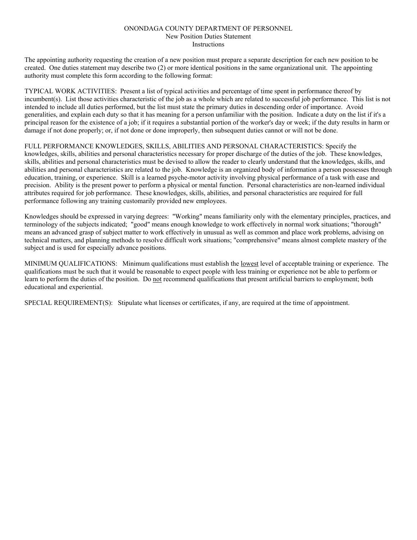## ONONDAGA COUNTY DEPARTMENT OF PERSONNEL New Position Duties Statement **Instructions**

The appointing authority requesting the creation of a new position must prepare a separate description for each new position to be created. One duties statement may describe two (2) or more identical positions in the same organizational unit. The appointing authority must complete this form according to the following format:

TYPICAL WORK ACTIVITIES: Present a list of typical activities and percentage of time spent in performance thereof by incumbent(s). List those activities characteristic of the job as a whole which are related to successful job performance. This list is not intended to include all duties performed, but the list must state the primary duties in descending order of importance. Avoid generalities, and explain each duty so that it has meaning for a person unfamiliar with the position. Indicate a duty on the list if it's a principal reason for the existence of a job; if it requires a substantial portion of the worker's day or week; if the duty results in harm or damage if not done properly; or, if not done or done improperly, then subsequent duties cannot or will not be done.

FULL PERFORMANCE KNOWLEDGES, SKILLS, ABILITIES AND PERSONAL CHARACTERISTICS: Specify the knowledges, skills, abilities and personal characteristics necessary for proper discharge of the duties of the job. These knowledges, skills, abilities and personal characteristics must be devised to allow the reader to clearly understand that the knowledges, skills, and abilities and personal characteristics are related to the job. Knowledge is an organized body of information a person possesses through education, training, or experience. Skill is a learned psyche-motor activity involving physical performance of a task with ease and precision. Ability is the present power to perform a physical or mental function. Personal characteristics are non-learned individual attributes required for job performance. These knowledges, skills, abilities, and personal characteristics are required for full performance following any training customarily provided new employees.

Knowledges should be expressed in varying degrees: "Working" means familiarity only with the elementary principles, practices, and terminology of the subjects indicated; "good" means enough knowledge to work effectively in normal work situations; "thorough" means an advanced grasp of subject matter to work effectively in unusual as well as common and place work problems, advising on technical matters, and planning methods to resolve difficult work situations; "comprehensive" means almost complete mastery of the subject and is used for especially advance positions.

MINIMUM QUALIFICATIONS: Minimum qualifications must establish the lowest level of acceptable training or experience. The qualifications must be such that it would be reasonable to expect people with less training or experience not be able to perform or learn to perform the duties of the position. Do not recommend qualifications that present artificial barriers to employment; both educational and experiential.

SPECIAL REQUIREMENT(S): Stipulate what licenses or certificates, if any, are required at the time of appointment.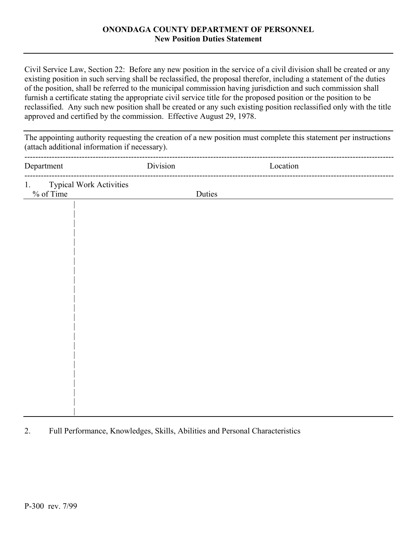## **ONONDAGA COUNTY DEPARTMENT OF PERSONNEL New Position Duties Statement**

Civil Service Law, Section 22: Before any new position in the service of a civil division shall be created or any existing position in such serving shall be reclassified, the proposal therefor, including a statement of the duties of the position, shall be referred to the municipal commission having jurisdiction and such commission shall furnish a certificate stating the appropriate civil service title for the proposed position or the position to be reclassified. Any such new position shall be created or any such existing position reclassified only with the title approved and certified by the commission. Effective August 29, 1978.

The appointing authority requesting the creation of a new position must complete this statement per instructions (attach additional information if necessary). ---------------------------------------------------------------------------------------------------------------------------------------

| Department                                 | Division | Location |
|--------------------------------------------|----------|----------|
| Typical Work Activities<br>% of Time<br>1. | Duties   |          |
|                                            |          |          |
|                                            |          |          |
|                                            |          |          |
|                                            |          |          |
|                                            |          |          |
|                                            |          |          |
|                                            |          |          |
|                                            |          |          |
|                                            |          |          |
|                                            |          |          |
|                                            |          |          |

## 2. Full Performance, Knowledges, Skills, Abilities and Personal Characteristics